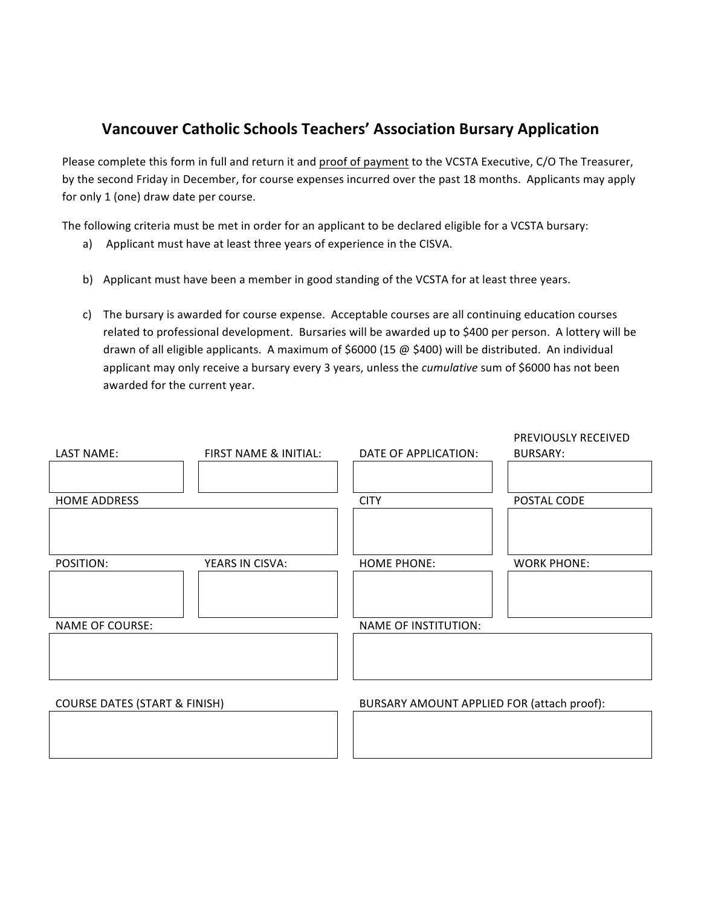## **Vancouver Catholic Schools Teachers' Association Bursary Application**

Please complete this form in full and return it and proof of payment to the VCSTA Executive, C/O The Treasurer, by the second Friday in December, for course expenses incurred over the past 18 months. Applicants may apply for only 1 (one) draw date per course.

The following criteria must be met in order for an applicant to be declared eligible for a VCSTA bursary:

- a) Applicant must have at least three years of experience in the CISVA.
- b) Applicant must have been a member in good standing of the VCSTA for at least three years.
- c) The bursary is awarded for course expense. Acceptable courses are all continuing education courses related to professional development. Bursaries will be awarded up to \$400 per person. A lottery will be drawn of all eligible applicants. A maximum of \$6000 (15  $\omega$  \$400) will be distributed. An individual applicant may only receive a bursary every 3 years, unless the *cumulative* sum of \$6000 has not been awarded for the current year.

| LAST NAME:                               | FIRST NAME & INITIAL: | DATE OF APPLICATION:                       | PREVIOUSLY RECEIVED<br><b>BURSARY:</b> |  |
|------------------------------------------|-----------------------|--------------------------------------------|----------------------------------------|--|
|                                          |                       |                                            |                                        |  |
| <b>HOME ADDRESS</b>                      |                       | <b>CITY</b>                                | POSTAL CODE                            |  |
|                                          |                       |                                            |                                        |  |
| POSITION:                                | YEARS IN CISVA:       | <b>HOME PHONE:</b>                         | <b>WORK PHONE:</b>                     |  |
|                                          |                       |                                            |                                        |  |
| <b>NAME OF COURSE:</b>                   |                       | NAME OF INSTITUTION:                       |                                        |  |
|                                          |                       |                                            |                                        |  |
|                                          |                       |                                            |                                        |  |
| <b>COURSE DATES (START &amp; FINISH)</b> |                       | BURSARY AMOUNT APPLIED FOR (attach proof): |                                        |  |
|                                          |                       |                                            |                                        |  |